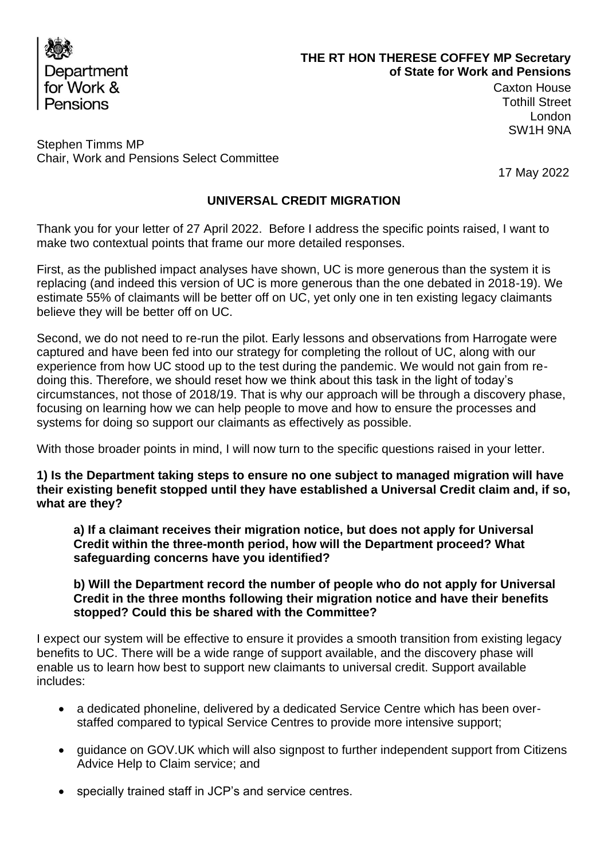

# **THE RT HON THERESE COFFEY MP Secretary of State for Work and Pensions**

Caxton House Tothill Street London SW1H 9NA

Stephen Timms MP Chair, Work and Pensions Select Committee

17 May 2022

# **UNIVERSAL CREDIT MIGRATION**

Thank you for your letter of 27 April 2022. Before I address the specific points raised, I want to make two contextual points that frame our more detailed responses.

First, as the published impact analyses have shown, UC is more generous than the system it is replacing (and indeed this version of UC is more generous than the one debated in 2018-19). We estimate 55% of claimants will be better off on UC, yet only one in ten existing legacy claimants believe they will be better off on UC.

Second, we do not need to re-run the pilot. Early lessons and observations from Harrogate were captured and have been fed into our strategy for completing the rollout of UC, along with our experience from how UC stood up to the test during the pandemic. We would not gain from redoing this. Therefore, we should reset how we think about this task in the light of today's circumstances, not those of 2018/19. That is why our approach will be through a discovery phase, focusing on learning how we can help people to move and how to ensure the processes and systems for doing so support our claimants as effectively as possible.

With those broader points in mind, I will now turn to the specific questions raised in your letter.

**1) Is the Department taking steps to ensure no one subject to managed migration will have their existing benefit stopped until they have established a Universal Credit claim and, if so, what are they?** 

**a) If a claimant receives their migration notice, but does not apply for Universal Credit within the three-month period, how will the Department proceed? What safeguarding concerns have you identified?** 

**b) Will the Department record the number of people who do not apply for Universal Credit in the three months following their migration notice and have their benefits stopped? Could this be shared with the Committee?**

I expect our system will be effective to ensure it provides a smooth transition from existing legacy benefits to UC. There will be a wide range of support available, and the discovery phase will enable us to learn how best to support new claimants to universal credit. Support available includes:

- a dedicated phoneline, delivered by a dedicated Service Centre which has been overstaffed compared to typical Service Centres to provide more intensive support;
- guidance on GOV.UK which will also signpost to further independent support from Citizens Advice Help to Claim service; and
- specially trained staff in JCP's and service centres.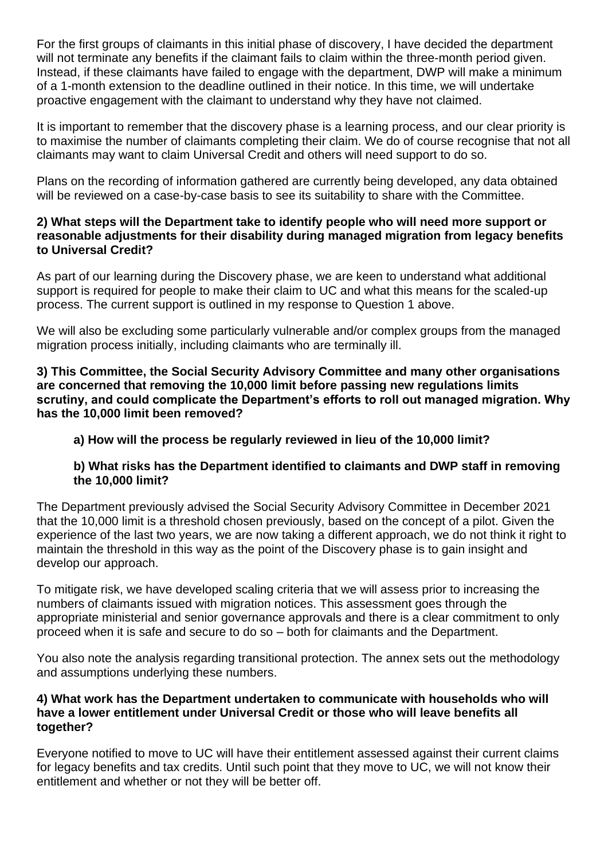For the first groups of claimants in this initial phase of discovery, I have decided the department will not terminate any benefits if the claimant fails to claim within the three-month period given. Instead, if these claimants have failed to engage with the department, DWP will make a minimum of a 1-month extension to the deadline outlined in their notice. In this time, we will undertake proactive engagement with the claimant to understand why they have not claimed.

It is important to remember that the discovery phase is a learning process, and our clear priority is to maximise the number of claimants completing their claim. We do of course recognise that not all claimants may want to claim Universal Credit and others will need support to do so.

Plans on the recording of information gathered are currently being developed, any data obtained will be reviewed on a case-by-case basis to see its suitability to share with the Committee.

# **2) What steps will the Department take to identify people who will need more support or reasonable adjustments for their disability during managed migration from legacy benefits to Universal Credit?**

As part of our learning during the Discovery phase, we are keen to understand what additional support is required for people to make their claim to UC and what this means for the scaled-up process. The current support is outlined in my response to Question 1 above.

We will also be excluding some particularly vulnerable and/or complex groups from the managed migration process initially, including claimants who are terminally ill.

**3) This Committee, the Social Security Advisory Committee and many other organisations are concerned that removing the 10,000 limit before passing new regulations limits scrutiny, and could complicate the Department's efforts to roll out managed migration. Why has the 10,000 limit been removed?** 

# **a) How will the process be regularly reviewed in lieu of the 10,000 limit?**

# **b) What risks has the Department identified to claimants and DWP staff in removing the 10,000 limit?**

The Department previously advised the Social Security Advisory Committee in December 2021 that the 10,000 limit is a threshold chosen previously, based on the concept of a pilot. Given the experience of the last two years, we are now taking a different approach, we do not think it right to maintain the threshold in this way as the point of the Discovery phase is to gain insight and develop our approach.

To mitigate risk, we have developed scaling criteria that we will assess prior to increasing the numbers of claimants issued with migration notices. This assessment goes through the appropriate ministerial and senior governance approvals and there is a clear commitment to only proceed when it is safe and secure to do so – both for claimants and the Department.

You also note the analysis regarding transitional protection. The annex sets out the methodology and assumptions underlying these numbers.

## **4) What work has the Department undertaken to communicate with households who will have a lower entitlement under Universal Credit or those who will leave benefits all together?**

Everyone notified to move to UC will have their entitlement assessed against their current claims for legacy benefits and tax credits. Until such point that they move to UC, we will not know their entitlement and whether or not they will be better off.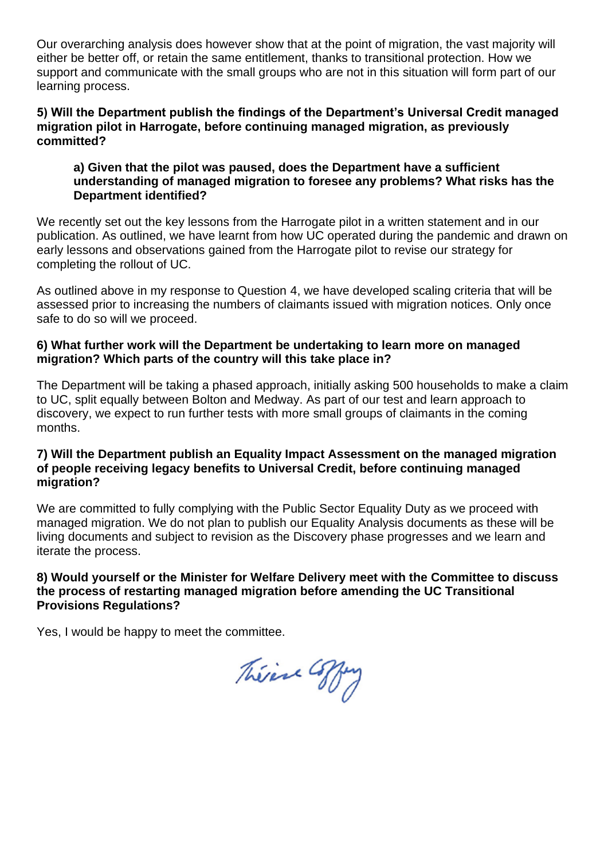Our overarching analysis does however show that at the point of migration, the vast majority will either be better off, or retain the same entitlement, thanks to transitional protection. How we support and communicate with the small groups who are not in this situation will form part of our learning process.

### **5) Will the Department publish the findings of the Department's Universal Credit managed migration pilot in Harrogate, before continuing managed migration, as previously committed?**

## **a) Given that the pilot was paused, does the Department have a sufficient understanding of managed migration to foresee any problems? What risks has the Department identified?**

We recently set out the key lessons from the Harrogate pilot in a written statement and in our publication. As outlined, we have learnt from how UC operated during the pandemic and drawn on early lessons and observations gained from the Harrogate pilot to revise our strategy for completing the rollout of UC.

As outlined above in my response to Question 4, we have developed scaling criteria that will be assessed prior to increasing the numbers of claimants issued with migration notices. Only once safe to do so will we proceed.

# **6) What further work will the Department be undertaking to learn more on managed migration? Which parts of the country will this take place in?**

The Department will be taking a phased approach, initially asking 500 households to make a claim to UC, split equally between Bolton and Medway. As part of our test and learn approach to discovery, we expect to run further tests with more small groups of claimants in the coming months.

## **7) Will the Department publish an Equality Impact Assessment on the managed migration of people receiving legacy benefits to Universal Credit, before continuing managed migration?**

We are committed to fully complying with the Public Sector Equality Duty as we proceed with managed migration. We do not plan to publish our Equality Analysis documents as these will be living documents and subject to revision as the Discovery phase progresses and we learn and iterate the process.

**8) Would yourself or the Minister for Welfare Delivery meet with the Committee to discuss the process of restarting managed migration before amending the UC Transitional Provisions Regulations?**

Yes, I would be happy to meet the committee.

Théine Coffey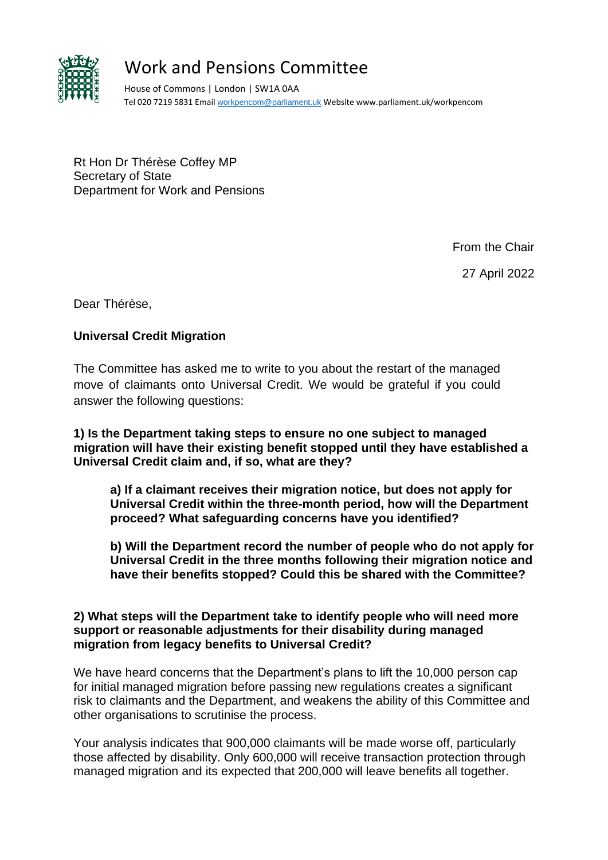

# Work and Pensions Committee

House of Commons | London | SW1A 0AA Tel 020 7219 5831 Email [workpencom@parliament.uk](mailto:workpencom@parliament.uk) Website www.parliament.uk/workpencom

Rt Hon Dr Thérèse Coffey MP Secretary of State Department for Work and Pensions

From the Chair

27 April 2022

Dear Thérèse,

# **Universal Credit Migration**

The Committee has asked me to write to you about the restart of the managed move of claimants onto Universal Credit. We would be grateful if you could answer the following questions:

**1) Is the Department taking steps to ensure no one subject to managed migration will have their existing benefit stopped until they have established a Universal Credit claim and, if so, what are they?**

**a) If a claimant receives their migration notice, but does not apply for Universal Credit within the three-month period, how will the Department proceed? What safeguarding concerns have you identified?**

**b) Will the Department record the number of people who do not apply for Universal Credit in the three months following their migration notice and have their benefits stopped? Could this be shared with the Committee?**

## **2) What steps will the Department take to identify people who will need more support or reasonable adjustments for their disability during managed migration from legacy benefits to Universal Credit?**

We have heard concerns that the Department's plans to lift the 10,000 person cap for initial managed migration before passing new regulations creates a significant risk to claimants and the Department, and weakens the ability of this Committee and other organisations to scrutinise the process.

Your analysis indicates that 900,000 claimants will be made worse off, particularly those affected by disability. Only 600,000 will receive transaction protection through managed migration and its expected that 200,000 will leave benefits all together.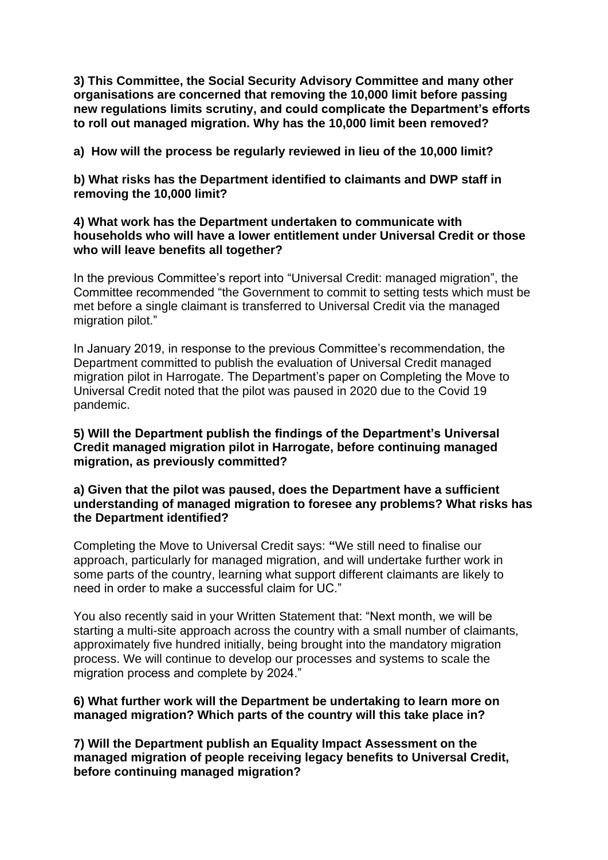**3) This Committee, the Social Security Advisory Committee and many other organisations are concerned that removing the 10,000 limit before passing new regulations limits scrutiny, and could complicate the Department's efforts to roll out managed migration. Why has the 10,000 limit been removed?** 

**a) How will the process be regularly reviewed in lieu of the 10,000 limit?**

**b) What risks has the Department identified to claimants and DWP staff in removing the 10,000 limit?** 

#### **4) What work has the Department undertaken to communicate with households who will have a lower entitlement under Universal Credit or those who will leave benefits all together?**

In the previous Committee's report into "Universal Credit: managed migration", the Committee recommended "the Government to commit to setting tests which must be met before a single claimant is transferred to Universal Credit via the managed migration pilot."

In January 2019, in response to the previous Committee's recommendation, the Department committed to publish the evaluation of Universal Credit managed migration pilot in Harrogate. The Department's paper on Completing the Move to Universal Credit noted that the pilot was paused in 2020 due to the Covid 19 pandemic.

**5) Will the Department publish the findings of the Department's Universal Credit managed migration pilot in Harrogate, before continuing managed migration, as previously committed?**

**a) Given that the pilot was paused, does the Department have a sufficient understanding of managed migration to foresee any problems? What risks has the Department identified?**

Completing the Move to Universal Credit says: **"**We still need to finalise our approach, particularly for managed migration, and will undertake further work in some parts of the country, learning what support different claimants are likely to need in order to make a successful claim for UC."

You also recently said in your Written Statement that: "Next month, we will be starting a multi-site approach across the country with a small number of claimants, approximately five hundred initially, being brought into the mandatory migration process. We will continue to develop our processes and systems to scale the migration process and complete by 2024."

## **6) What further work will the Department be undertaking to learn more on managed migration? Which parts of the country will this take place in?**

**7) Will the Department publish an Equality Impact Assessment on the managed migration of people receiving legacy benefits to Universal Credit, before continuing managed migration?**